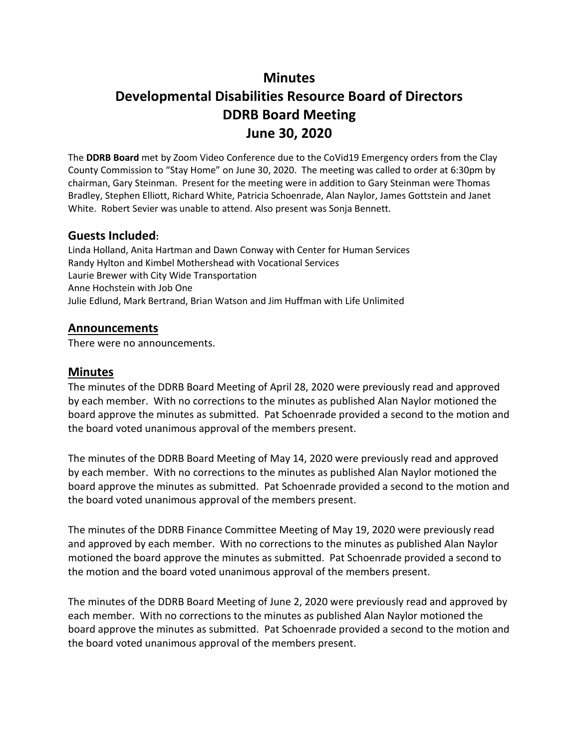# **Minutes**

# **Developmental Disabilities Resource Board of Directors DDRB Board Meeting June 30, 2020**

The **DDRB Board** met by Zoom Video Conference due to the CoVid19 Emergency orders from the Clay County Commission to "Stay Home" on June 30, 2020. The meeting was called to order at 6:30pm by chairman, Gary Steinman. Present for the meeting were in addition to Gary Steinman were Thomas Bradley, Stephen Elliott, Richard White, Patricia Schoenrade, Alan Naylor, James Gottstein and Janet White. Robert Sevier was unable to attend. Also present was Sonja Bennett.

### **Guests Included:**

Linda Holland, Anita Hartman and Dawn Conway with Center for Human Services Randy Hylton and Kimbel Mothershead with Vocational Services Laurie Brewer with City Wide Transportation Anne Hochstein with Job One Julie Edlund, Mark Bertrand, Brian Watson and Jim Huffman with Life Unlimited

### **Announcements**

There were no announcements.

### **Minutes**

The minutes of the DDRB Board Meeting of April 28, 2020 were previously read and approved by each member. With no corrections to the minutes as published Alan Naylor motioned the board approve the minutes as submitted. Pat Schoenrade provided a second to the motion and the board voted unanimous approval of the members present.

The minutes of the DDRB Board Meeting of May 14, 2020 were previously read and approved by each member. With no corrections to the minutes as published Alan Naylor motioned the board approve the minutes as submitted. Pat Schoenrade provided a second to the motion and the board voted unanimous approval of the members present.

The minutes of the DDRB Finance Committee Meeting of May 19, 2020 were previously read and approved by each member. With no corrections to the minutes as published Alan Naylor motioned the board approve the minutes as submitted. Pat Schoenrade provided a second to the motion and the board voted unanimous approval of the members present.

The minutes of the DDRB Board Meeting of June 2, 2020 were previously read and approved by each member. With no corrections to the minutes as published Alan Naylor motioned the board approve the minutes as submitted. Pat Schoenrade provided a second to the motion and the board voted unanimous approval of the members present.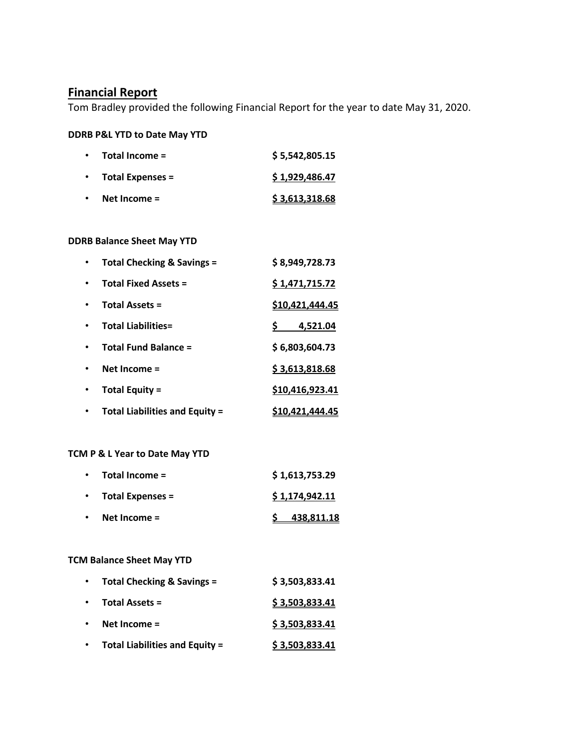# **Financial Report**

Tom Bradley provided the following Financial Report for the year to date May 31, 2020.

#### **DDRB P&L YTD to Date May YTD**

| $\bullet$ | Total Income =           | \$5,542,805.15 |
|-----------|--------------------------|----------------|
|           | $\cdot$ Total Expenses = | \$1,929,486.47 |
| $\bullet$ | Net Income $=$           | \$3,613,318.68 |

### **DDRB Balance Sheet May YTD**

| <b>Total Checking &amp; Savings =</b> | \$8,949,728.73         |
|---------------------------------------|------------------------|
| <b>Total Fixed Assets =</b>           | \$1,471,715.72         |
| <b>Total Assets =</b>                 | \$10,421,444.45        |
| <b>Total Liabilities=</b>             | 4,521.04<br>S.         |
| <b>Total Fund Balance =</b>           | \$6,803,604.73         |
| Net Income $=$                        | \$3,613,818.68         |
| <b>Total Equity =</b>                 | \$10,416,923.41        |
| <b>Total Liabilities and Equity =</b> | <u>\$10,421,444.45</u> |

### **TCM P & L Year to Date May YTD**

|           | $\cdot$ Total Income = | \$1,613,753.29 |
|-----------|------------------------|----------------|
|           | • Total Expenses =     | \$1,174,942.11 |
| $\bullet$ | Net Income $=$         | 438,811.18     |

#### **TCM Balance Sheet May YTD**

| $\bullet$ | Total Checking & Savings =            | \$3,503,833.41 |
|-----------|---------------------------------------|----------------|
| $\bullet$ | Total Assets =                        | \$3,503,833.41 |
|           | Net Income $=$                        | \$3,503,833.41 |
|           | <b>Total Liabilities and Equity =</b> | \$3,503,833.41 |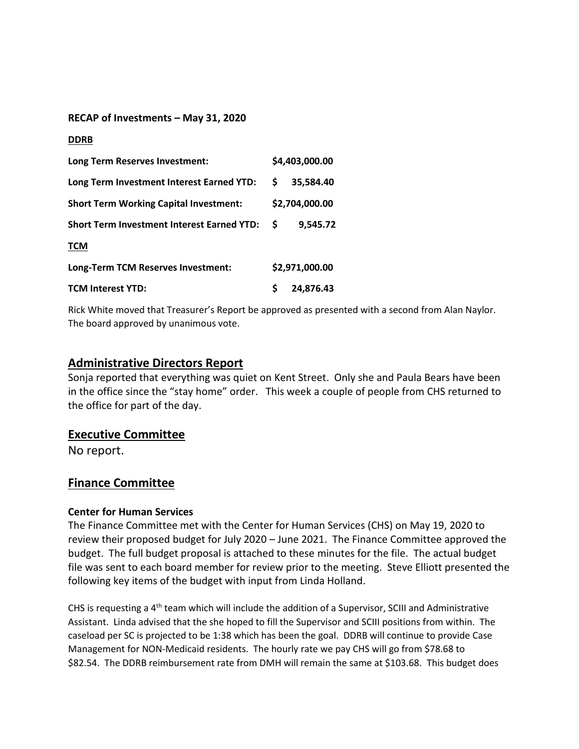#### **RECAP of Investments – May 31, 2020**

| <b>DDRB</b>                                       |    |                |
|---------------------------------------------------|----|----------------|
| Long Term Reserves Investment:                    |    | \$4,403,000.00 |
| Long Term Investment Interest Earned YTD:         | S  | 35,584.40      |
| <b>Short Term Working Capital Investment:</b>     |    | \$2,704,000.00 |
| <b>Short Term Investment Interest Earned YTD:</b> | -S | 9,545.72       |
| <b>TCM</b>                                        |    |                |
| Long-Term TCM Reserves Investment:                |    | \$2,971,000.00 |
| <b>TCM Interest YTD:</b>                          | \$ | 24.876.43      |

Rick White moved that Treasurer's Report be approved as presented with a second from Alan Naylor. The board approved by unanimous vote.

### **Administrative Directors Report**

Sonja reported that everything was quiet on Kent Street. Only she and Paula Bears have been in the office since the "stay home" order. This week a couple of people from CHS returned to the office for part of the day.

### **Executive Committee**

No report.

### **Finance Committee**

### **Center for Human Services**

The Finance Committee met with the Center for Human Services (CHS) on May 19, 2020 to review their proposed budget for July 2020 – June 2021. The Finance Committee approved the budget. The full budget proposal is attached to these minutes for the file. The actual budget file was sent to each board member for review prior to the meeting. Steve Elliott presented the following key items of the budget with input from Linda Holland.

CHS is requesting a 4th team which will include the addition of a Supervisor, SCIII and Administrative Assistant. Linda advised that the she hoped to fill the Supervisor and SCIII positions from within. The caseload per SC is projected to be 1:38 which has been the goal. DDRB will continue to provide Case Management for NON-Medicaid residents. The hourly rate we pay CHS will go from \$78.68 to \$82.54. The DDRB reimbursement rate from DMH will remain the same at \$103.68. This budget does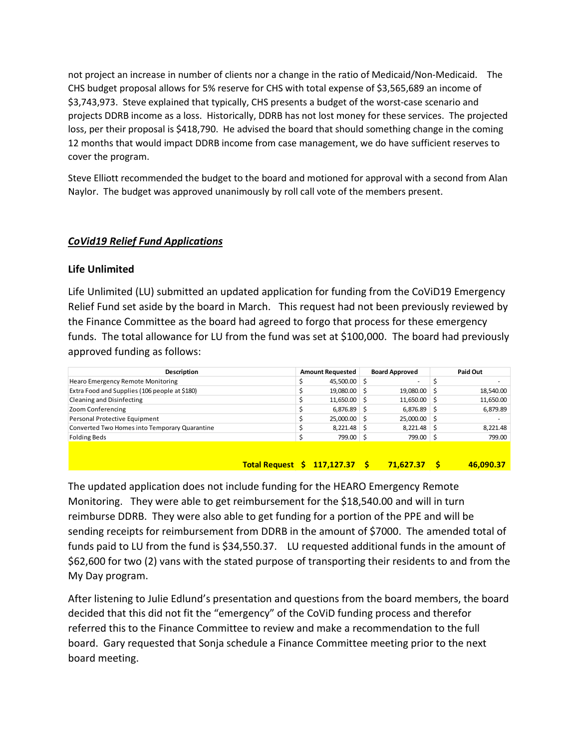not project an increase in number of clients nor a change in the ratio of Medicaid/Non-Medicaid. The CHS budget proposal allows for 5% reserve for CHS with total expense of \$3,565,689 an income of \$3,743,973. Steve explained that typically, CHS presents a budget of the worst-case scenario and projects DDRB income as a loss. Historically, DDRB has not lost money for these services. The projected loss, per their proposal is \$418,790. He advised the board that should something change in the coming 12 months that would impact DDRB income from case management, we do have sufficient reserves to cover the program.

Steve Elliott recommended the budget to the board and motioned for approval with a second from Alan Naylor. The budget was approved unanimously by roll call vote of the members present.

### *CoVid19 Relief Fund Applications*

#### **Life Unlimited**

Life Unlimited (LU) submitted an updated application for funding from the CoViD19 Emergency Relief Fund set aside by the board in March. This request had not been previously reviewed by the Finance Committee as the board had agreed to forgo that process for these emergency funds. The total allowance for LU from the fund was set at \$100,000. The board had previously approved funding as follows:

| Description                                   | <b>Amount Requested</b> | <b>Board Approved</b> | Paid Out  |
|-----------------------------------------------|-------------------------|-----------------------|-----------|
| Hearo Emergency Remote Monitoring             | 45,500.00               |                       |           |
| Extra Food and Supplies (106 people at \$180) | 19,080.00               | $19,080.00$ \$        | 18,540.00 |
| Cleaning and Disinfecting                     | 11,650.00               | $11,650.00$ \$        | 11,650.00 |
| Zoom Conferencing                             | 6,876.89                | $6,876.89$ \$         | 6,879.89  |
| Personal Protective Equipment                 | 25,000.00               | $25,000.00$ \$        |           |
| Converted Two Homes into Temporary Quarantine | 8,221.48                | $8,221.48$ \$         | 8,221.48  |
| <b>Folding Beds</b>                           | 799.00                  | 799.00 \$             | 799.00    |
|                                               |                         |                       |           |
|                                               |                         |                       |           |

#### **Total Request \$ 117,127.37 \$ 71,627.37 \$ 46,090.37**

The updated application does not include funding for the HEARO Emergency Remote Monitoring. They were able to get reimbursement for the \$18,540.00 and will in turn reimburse DDRB. They were also able to get funding for a portion of the PPE and will be sending receipts for reimbursement from DDRB in the amount of \$7000. The amended total of funds paid to LU from the fund is \$34,550.37. LU requested additional funds in the amount of \$62,600 for two (2) vans with the stated purpose of transporting their residents to and from the My Day program.

After listening to Julie Edlund's presentation and questions from the board members, the board decided that this did not fit the "emergency" of the CoViD funding process and therefor referred this to the Finance Committee to review and make a recommendation to the full board. Gary requested that Sonja schedule a Finance Committee meeting prior to the next board meeting.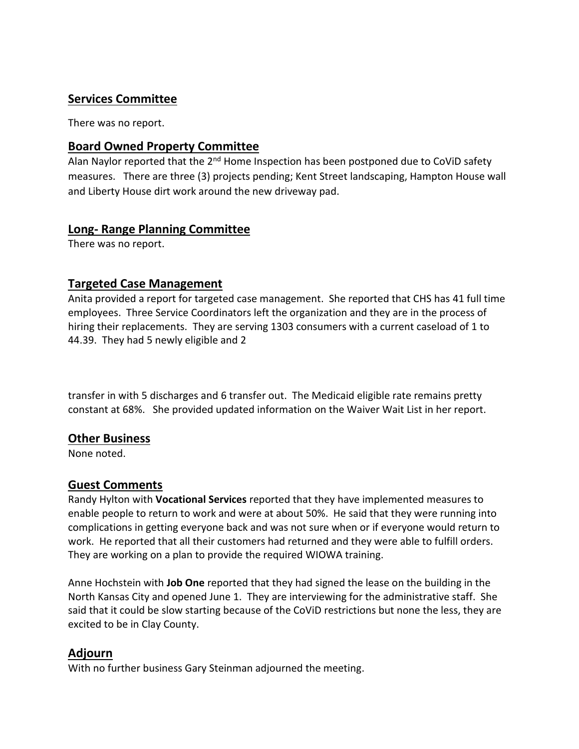# **Services Committee**

There was no report.

# **Board Owned Property Committee**

Alan Naylor reported that the 2<sup>nd</sup> Home Inspection has been postponed due to CoViD safety measures. There are three (3) projects pending; Kent Street landscaping, Hampton House wall and Liberty House dirt work around the new driveway pad.

# **Long- Range Planning Committee**

There was no report.

# **Targeted Case Management**

Anita provided a report for targeted case management. She reported that CHS has 41 full time employees. Three Service Coordinators left the organization and they are in the process of hiring their replacements. They are serving 1303 consumers with a current caseload of 1 to 44.39. They had 5 newly eligible and 2

transfer in with 5 discharges and 6 transfer out. The Medicaid eligible rate remains pretty constant at 68%. She provided updated information on the Waiver Wait List in her report.

# **Other Business**

None noted.

# **Guest Comments**

Randy Hylton with **Vocational Services** reported that they have implemented measures to enable people to return to work and were at about 50%. He said that they were running into complications in getting everyone back and was not sure when or if everyone would return to work. He reported that all their customers had returned and they were able to fulfill orders. They are working on a plan to provide the required WIOWA training.

Anne Hochstein with **Job One** reported that they had signed the lease on the building in the North Kansas City and opened June 1. They are interviewing for the administrative staff. She said that it could be slow starting because of the CoViD restrictions but none the less, they are excited to be in Clay County.

# **Adjourn**

With no further business Gary Steinman adjourned the meeting.